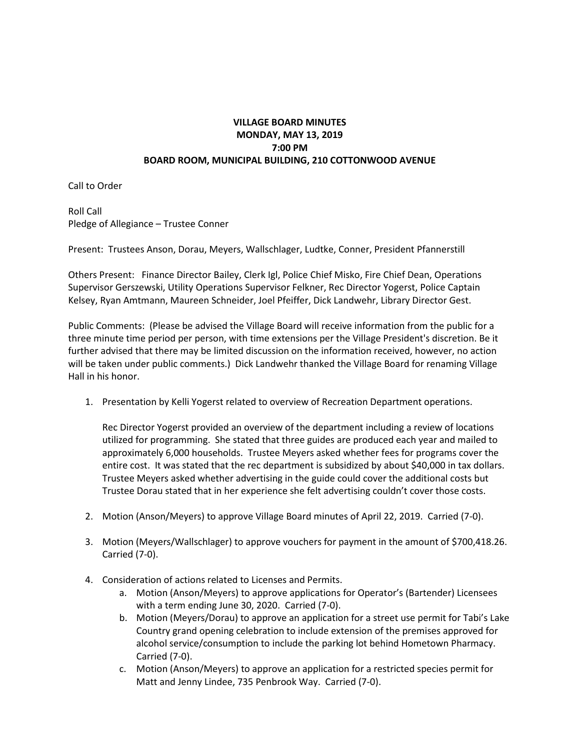## **VILLAGE BOARD MINUTES MONDAY, MAY 13, 2019 7:00 PM BOARD ROOM, MUNICIPAL BUILDING, 210 COTTONWOOD AVENUE**

Call to Order

Roll Call Pledge of Allegiance – Trustee Conner

Present: Trustees Anson, Dorau, Meyers, Wallschlager, Ludtke, Conner, President Pfannerstill

Others Present: Finance Director Bailey, Clerk Igl, Police Chief Misko, Fire Chief Dean, Operations Supervisor Gerszewski, Utility Operations Supervisor Felkner, Rec Director Yogerst, Police Captain Kelsey, Ryan Amtmann, Maureen Schneider, Joel Pfeiffer, Dick Landwehr, Library Director Gest.

Public Comments: (Please be advised the Village Board will receive information from the public for a three minute time period per person, with time extensions per the Village President's discretion. Be it further advised that there may be limited discussion on the information received, however, no action will be taken under public comments.) Dick Landwehr thanked the Village Board for renaming Village Hall in his honor.

1. Presentation by Kelli Yogerst related to overview of Recreation Department operations.

Rec Director Yogerst provided an overview of the department including a review of locations utilized for programming. She stated that three guides are produced each year and mailed to approximately 6,000 households. Trustee Meyers asked whether fees for programs cover the entire cost. It was stated that the rec department is subsidized by about \$40,000 in tax dollars. Trustee Meyers asked whether advertising in the guide could cover the additional costs but Trustee Dorau stated that in her experience she felt advertising couldn't cover those costs.

- 2. Motion (Anson/Meyers) to approve Village Board minutes of April 22, 2019. Carried (7-0).
- 3. Motion (Meyers/Wallschlager) to approve vouchers for payment in the amount of \$700,418.26. Carried (7-0).
- 4. Consideration of actions related to Licenses and Permits.
	- a. Motion (Anson/Meyers) to approve applications for Operator's (Bartender) Licensees with a term ending June 30, 2020. Carried (7-0).
	- b. Motion (Meyers/Dorau) to approve an application for a street use permit for Tabi's Lake Country grand opening celebration to include extension of the premises approved for alcohol service/consumption to include the parking lot behind Hometown Pharmacy. Carried (7-0).
	- c. Motion (Anson/Meyers) to approve an application for a restricted species permit for Matt and Jenny Lindee, 735 Penbrook Way. Carried (7-0).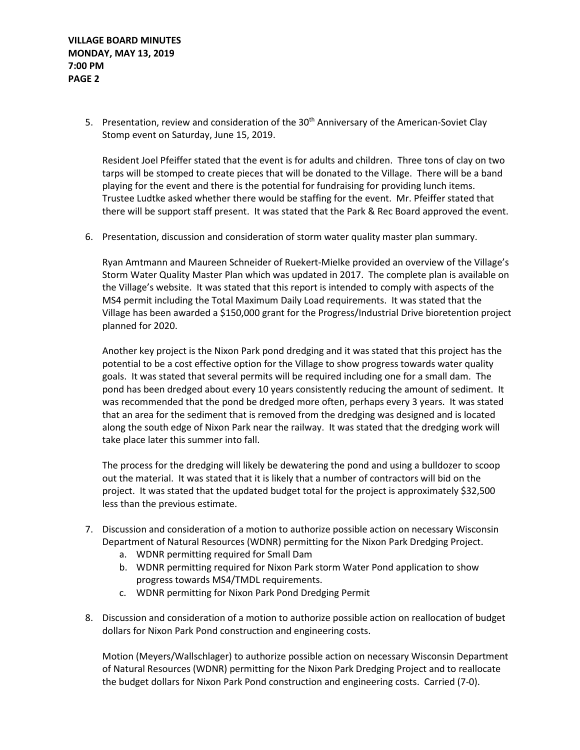5. Presentation, review and consideration of the 30<sup>th</sup> Anniversary of the American-Soviet Clay Stomp event on Saturday, June 15, 2019.

Resident Joel Pfeiffer stated that the event is for adults and children. Three tons of clay on two tarps will be stomped to create pieces that will be donated to the Village. There will be a band playing for the event and there is the potential for fundraising for providing lunch items. Trustee Ludtke asked whether there would be staffing for the event. Mr. Pfeiffer stated that there will be support staff present. It was stated that the Park & Rec Board approved the event.

6. Presentation, discussion and consideration of storm water quality master plan summary.

Ryan Amtmann and Maureen Schneider of Ruekert-Mielke provided an overview of the Village's Storm Water Quality Master Plan which was updated in 2017. The complete plan is available on the Village's website. It was stated that this report is intended to comply with aspects of the MS4 permit including the Total Maximum Daily Load requirements. It was stated that the Village has been awarded a \$150,000 grant for the Progress/Industrial Drive bioretention project planned for 2020.

Another key project is the Nixon Park pond dredging and it was stated that this project has the potential to be a cost effective option for the Village to show progress towards water quality goals. It was stated that several permits will be required including one for a small dam. The pond has been dredged about every 10 years consistently reducing the amount of sediment. It was recommended that the pond be dredged more often, perhaps every 3 years. It was stated that an area for the sediment that is removed from the dredging was designed and is located along the south edge of Nixon Park near the railway. It was stated that the dredging work will take place later this summer into fall.

The process for the dredging will likely be dewatering the pond and using a bulldozer to scoop out the material. It was stated that it is likely that a number of contractors will bid on the project. It was stated that the updated budget total for the project is approximately \$32,500 less than the previous estimate.

- 7. Discussion and consideration of a motion to authorize possible action on necessary Wisconsin Department of Natural Resources (WDNR) permitting for the Nixon Park Dredging Project.
	- a. WDNR permitting required for Small Dam
	- b. WDNR permitting required for Nixon Park storm Water Pond application to show progress towards MS4/TMDL requirements.
	- c. WDNR permitting for Nixon Park Pond Dredging Permit
- 8. Discussion and consideration of a motion to authorize possible action on reallocation of budget dollars for Nixon Park Pond construction and engineering costs.

Motion (Meyers/Wallschlager) to authorize possible action on necessary Wisconsin Department of Natural Resources (WDNR) permitting for the Nixon Park Dredging Project and to reallocate the budget dollars for Nixon Park Pond construction and engineering costs. Carried (7-0).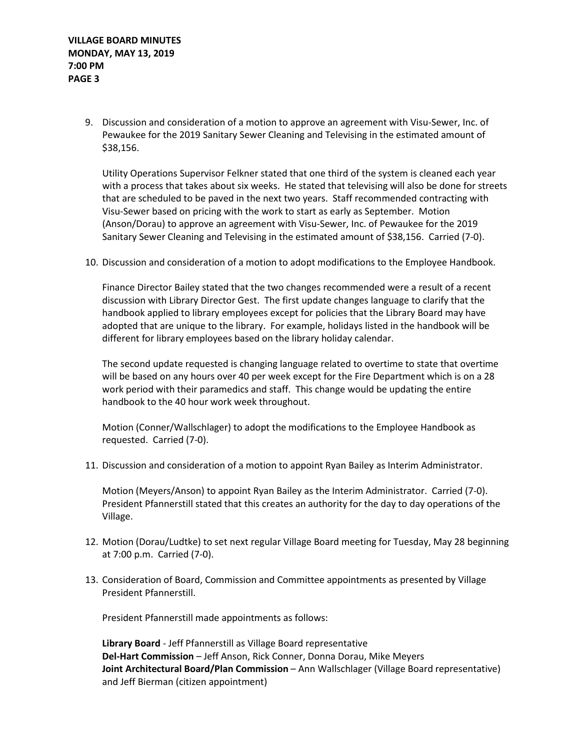9. Discussion and consideration of a motion to approve an agreement with Visu-Sewer, Inc. of Pewaukee for the 2019 Sanitary Sewer Cleaning and Televising in the estimated amount of \$38,156.

Utility Operations Supervisor Felkner stated that one third of the system is cleaned each year with a process that takes about six weeks. He stated that televising will also be done for streets that are scheduled to be paved in the next two years. Staff recommended contracting with Visu-Sewer based on pricing with the work to start as early as September. Motion (Anson/Dorau) to approve an agreement with Visu-Sewer, Inc. of Pewaukee for the 2019 Sanitary Sewer Cleaning and Televising in the estimated amount of \$38,156. Carried (7-0).

10. Discussion and consideration of a motion to adopt modifications to the Employee Handbook.

Finance Director Bailey stated that the two changes recommended were a result of a recent discussion with Library Director Gest. The first update changes language to clarify that the handbook applied to library employees except for policies that the Library Board may have adopted that are unique to the library. For example, holidays listed in the handbook will be different for library employees based on the library holiday calendar.

The second update requested is changing language related to overtime to state that overtime will be based on any hours over 40 per week except for the Fire Department which is on a 28 work period with their paramedics and staff. This change would be updating the entire handbook to the 40 hour work week throughout.

Motion (Conner/Wallschlager) to adopt the modifications to the Employee Handbook as requested. Carried (7-0).

11. Discussion and consideration of a motion to appoint Ryan Bailey as Interim Administrator.

Motion (Meyers/Anson) to appoint Ryan Bailey as the Interim Administrator. Carried (7-0). President Pfannerstill stated that this creates an authority for the day to day operations of the Village.

- 12. Motion (Dorau/Ludtke) to set next regular Village Board meeting for Tuesday, May 28 beginning at 7:00 p.m. Carried (7-0).
- 13. Consideration of Board, Commission and Committee appointments as presented by Village President Pfannerstill.

President Pfannerstill made appointments as follows:

**Library Board** - Jeff Pfannerstill as Village Board representative **Del-Hart Commission** – Jeff Anson, Rick Conner, Donna Dorau, Mike Meyers **Joint Architectural Board/Plan Commission** – Ann Wallschlager (Village Board representative) and Jeff Bierman (citizen appointment)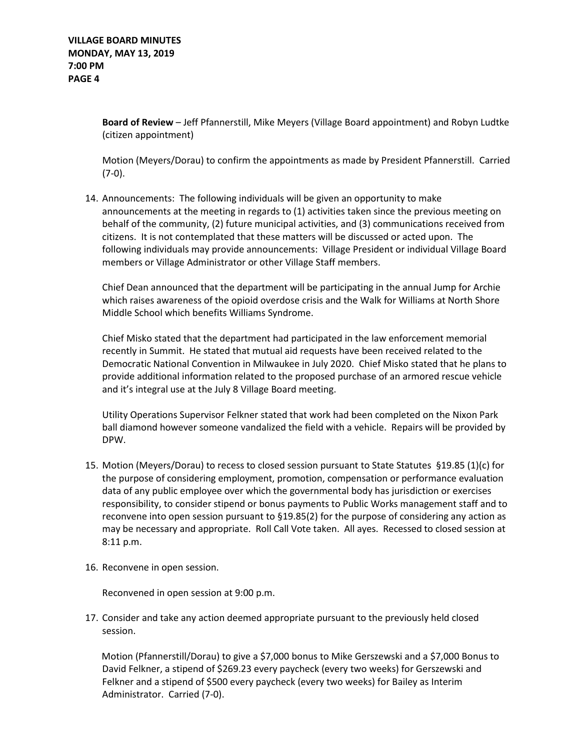**Board of Review** – Jeff Pfannerstill, Mike Meyers (Village Board appointment) and Robyn Ludtke (citizen appointment)

Motion (Meyers/Dorau) to confirm the appointments as made by President Pfannerstill. Carried  $(7-0).$ 

14. Announcements: The following individuals will be given an opportunity to make announcements at the meeting in regards to (1) activities taken since the previous meeting on behalf of the community, (2) future municipal activities, and (3) communications received from citizens. It is not contemplated that these matters will be discussed or acted upon. The following individuals may provide announcements: Village President or individual Village Board members or Village Administrator or other Village Staff members.

Chief Dean announced that the department will be participating in the annual Jump for Archie which raises awareness of the opioid overdose crisis and the Walk for Williams at North Shore Middle School which benefits Williams Syndrome.

Chief Misko stated that the department had participated in the law enforcement memorial recently in Summit. He stated that mutual aid requests have been received related to the Democratic National Convention in Milwaukee in July 2020. Chief Misko stated that he plans to provide additional information related to the proposed purchase of an armored rescue vehicle and it's integral use at the July 8 Village Board meeting.

Utility Operations Supervisor Felkner stated that work had been completed on the Nixon Park ball diamond however someone vandalized the field with a vehicle. Repairs will be provided by DPW.

- 15. Motion (Meyers/Dorau) to recess to closed session pursuant to State Statutes §19.85 (1)(c) for the purpose of considering employment, promotion, compensation or performance evaluation data of any public employee over which the governmental body has jurisdiction or exercises responsibility, to consider stipend or bonus payments to Public Works management staff and to reconvene into open session pursuant to §19.85(2) for the purpose of considering any action as may be necessary and appropriate. Roll Call Vote taken. All ayes. Recessed to closed session at 8:11 p.m.
- 16. Reconvene in open session.

Reconvened in open session at 9:00 p.m.

17. Consider and take any action deemed appropriate pursuant to the previously held closed session.

 Motion (Pfannerstill/Dorau) to give a \$7,000 bonus to Mike Gerszewski and a \$7,000 Bonus to David Felkner, a stipend of \$269.23 every paycheck (every two weeks) for Gerszewski and Felkner and a stipend of \$500 every paycheck (every two weeks) for Bailey as Interim Administrator. Carried (7-0).